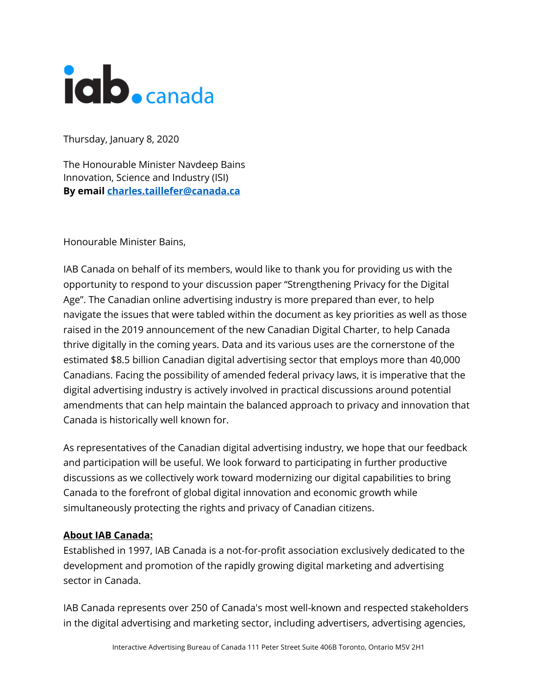

Thursday, January 8, 2020

The Honourable Minister Navdeep Bains Innovation, Science and Industry (ISI) **By email charles.taillefer@canada.ca**

Honourable Minister Bains,

IAB Canada on behalf of its members, would like to thank you for providing us with the opportunity to respond to your discussion paper "Strengthening Privacy for the Digital Age". The Canadian online advertising industry is more prepared than ever, to help navigate the issues that were tabled within the document as key priorities as well as those raised in the 2019 announcement of the new Canadian Digital Charter, to help Canada thrive digitally in the coming years. Data and its various uses are the cornerstone of the estimated \$8.5 billion Canadian digital advertising sector that employs more than 40,000 Canadians. Facing the possibility of amended federal privacy laws, it is imperative that the digital advertising industry is actively involved in practical discussions around potential amendments that can help maintain the balanced approach to privacy and innovation that Canada is historically well known for.

As representatives of the Canadian digital advertising industry, we hope that our feedback and participation will be useful. We look forward to participating in further productive discussions as we collectively work toward modernizing our digital capabilities to bring Canada to the forefront of global digital innovation and economic growth while simultaneously protecting the rights and privacy of Canadian citizens.

### **About IAB Canada:**

Established in 1997, IAB Canada is a not-for-profit association exclusively dedicated to the development and promotion of the rapidly growing digital marketing and advertising sector in Canada.

IAB Canada represents over 250 of Canada's most well-known and respected stakeholders in the digital advertising and marketing sector, including advertisers, advertising agencies,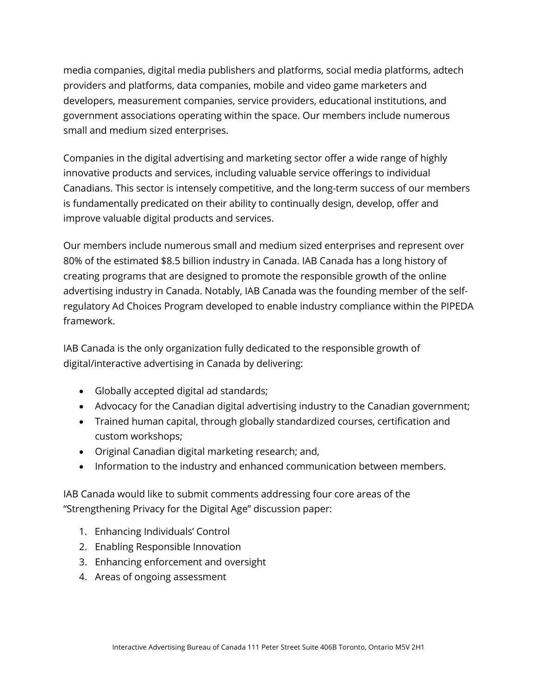media companies, digital media publishers and platforms, social media platforms, adtech providers and platforms, data companies, mobile and video game marketers and developers, measurement companies, service providers, educational institutions, and government associations operating within the space. Our members include numerous small and medium sized enterprises.

Companies in the digital advertising and marketing sector offer a wide range of highly innovative products and services, including valuable service offerings to individual Canadians. This sector is intensely competitive, and the long-term success of our members is fundamentally predicated on their ability to continually design, develop, offer and improve valuable digital products and services.

Our members include numerous small and medium sized enterprises and represent over 80% of the estimated \$8.5 billion industry in Canada. IAB Canada has a long history of creating programs that are designed to promote the responsible growth of the online advertising industry in Canada. Notably, IAB Canada was the founding member of the selfregulatory Ad Choices Program developed to enable industry compliance within the PIPEDA framework.

IAB Canada is the only organization fully dedicated to the responsible growth of digital/interactive advertising in Canada by delivering:

- Globally accepted digital ad standards;
- Advocacy for the Canadian digital advertising industry to the Canadian government;
- Trained human capital, through globally standardized courses, certification and custom workshops;
- Original Canadian digital marketing research; and,
- Information to the industry and enhanced communication between members.

IAB Canada would like to submit comments addressing four core areas of the "Strengthening Privacy for the Digital Age" discussion paper:

- 1. Enhancing Individuals' Control
- 2. Enabling Responsible Innovation
- 3. Enhancing enforcement and oversight
- 4. Areas of ongoing assessment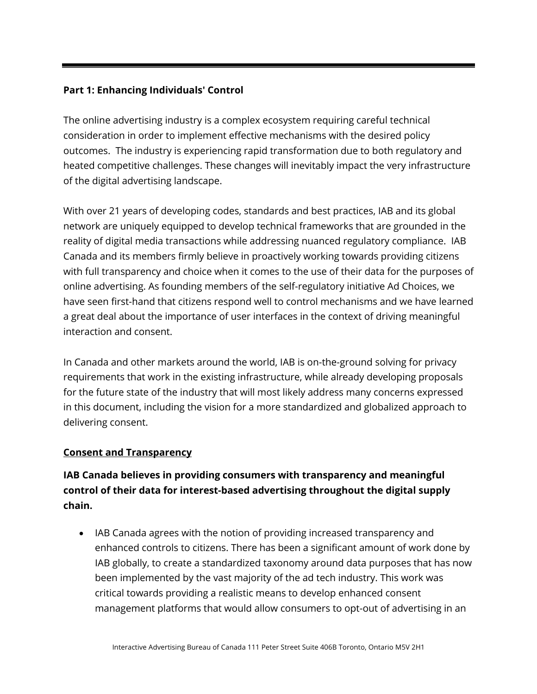# **Part 1: Enhancing Individuals' Control**

The online advertising industry is a complex ecosystem requiring careful technical consideration in order to implement effective mechanisms with the desired policy outcomes. The industry is experiencing rapid transformation due to both regulatory and heated competitive challenges. These changes will inevitably impact the very infrastructure of the digital advertising landscape.

With over 21 years of developing codes, standards and best practices, IAB and its global network are uniquely equipped to develop technical frameworks that are grounded in the reality of digital media transactions while addressing nuanced regulatory compliance. IAB Canada and its members firmly believe in proactively working towards providing citizens with full transparency and choice when it comes to the use of their data for the purposes of online advertising. As founding members of the self-regulatory initiative Ad Choices, we have seen first-hand that citizens respond well to control mechanisms and we have learned a great deal about the importance of user interfaces in the context of driving meaningful interaction and consent.

In Canada and other markets around the world, IAB is on-the-ground solving for privacy requirements that work in the existing infrastructure, while already developing proposals for the future state of the industry that will most likely address many concerns expressed in this document, including the vision for a more standardized and globalized approach to delivering consent.

# **Consent and Transparency**

# **IAB Canada believes in providing consumers with transparency and meaningful control of their data for interest-based advertising throughout the digital supply chain.**

• IAB Canada agrees with the notion of providing increased transparency and enhanced controls to citizens. There has been a significant amount of work done by IAB globally, to create a standardized taxonomy around data purposes that has now been implemented by the vast majority of the ad tech industry. This work was critical towards providing a realistic means to develop enhanced consent management platforms that would allow consumers to opt-out of advertising in an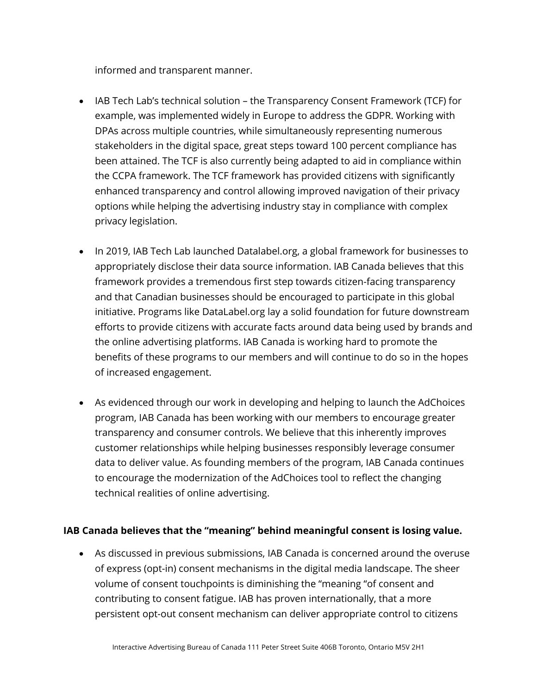informed and transparent manner.

- IAB Tech Lab's technical solution the Transparency Consent Framework (TCF) for example, was implemented widely in Europe to address the GDPR. Working with DPAs across multiple countries, while simultaneously representing numerous stakeholders in the digital space, great steps toward 100 percent compliance has been attained. The TCF is also currently being adapted to aid in compliance within the CCPA framework. The TCF framework has provided citizens with significantly enhanced transparency and control allowing improved navigation of their privacy options while helping the advertising industry stay in compliance with complex privacy legislation.
- In 2019, IAB Tech Lab launched Datalabel.org, a global framework for businesses to appropriately disclose their data source information. IAB Canada believes that this framework provides a tremendous first step towards citizen-facing transparency and that Canadian businesses should be encouraged to participate in this global initiative. Programs like DataLabel.org lay a solid foundation for future downstream efforts to provide citizens with accurate facts around data being used by brands and the online advertising platforms. IAB Canada is working hard to promote the benefits of these programs to our members and will continue to do so in the hopes of increased engagement.
- As evidenced through our work in developing and helping to launch the AdChoices program, IAB Canada has been working with our members to encourage greater transparency and consumer controls. We believe that this inherently improves customer relationships while helping businesses responsibly leverage consumer data to deliver value. As founding members of the program, IAB Canada continues to encourage the modernization of the AdChoices tool to reflect the changing technical realities of online advertising.

### **IAB Canada believes that the "meaning" behind meaningful consent is losing value.**

• As discussed in previous submissions, IAB Canada is concerned around the overuse of express (opt-in) consent mechanisms in the digital media landscape. The sheer volume of consent touchpoints is diminishing the "meaning "of consent and contributing to consent fatigue. IAB has proven internationally, that a more persistent opt-out consent mechanism can deliver appropriate control to citizens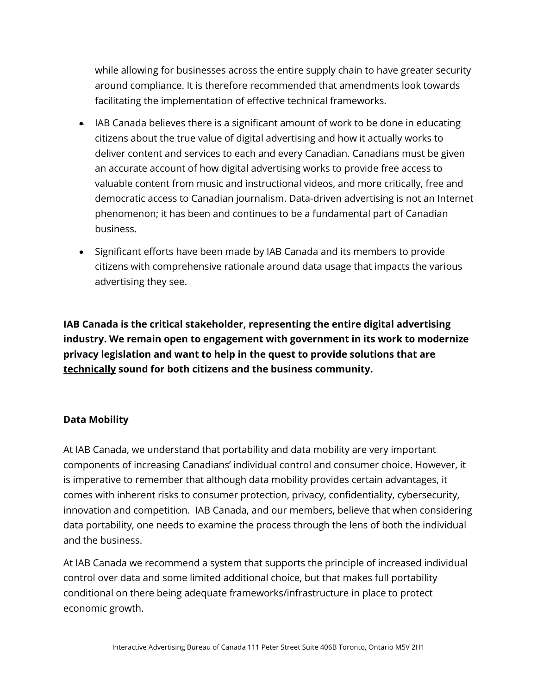while allowing for businesses across the entire supply chain to have greater security around compliance. It is therefore recommended that amendments look towards facilitating the implementation of effective technical frameworks.

- IAB Canada believes there is a significant amount of work to be done in educating citizens about the true value of digital advertising and how it actually works to deliver content and services to each and every Canadian. Canadians must be given an accurate account of how digital advertising works to provide free access to valuable content from music and instructional videos, and more critically, free and democratic access to Canadian journalism. Data-driven advertising is not an Internet phenomenon; it has been and continues to be a fundamental part of Canadian business.
- Significant efforts have been made by IAB Canada and its members to provide citizens with comprehensive rationale around data usage that impacts the various advertising they see.

**IAB Canada is the critical stakeholder, representing the entire digital advertising industry. We remain open to engagement with government in its work to modernize privacy legislation and want to help in the quest to provide solutions that are technically sound for both citizens and the business community.**

### **Data Mobility**

At IAB Canada, we understand that portability and data mobility are very important components of increasing Canadians' individual control and consumer choice. However, it is imperative to remember that although data mobility provides certain advantages, it comes with inherent risks to consumer protection, privacy, confidentiality, cybersecurity, innovation and competition. IAB Canada, and our members, believe that when considering data portability, one needs to examine the process through the lens of both the individual and the business.

At IAB Canada we recommend a system that supports the principle of increased individual control over data and some limited additional choice, but that makes full portability conditional on there being adequate frameworks/infrastructure in place to protect economic growth.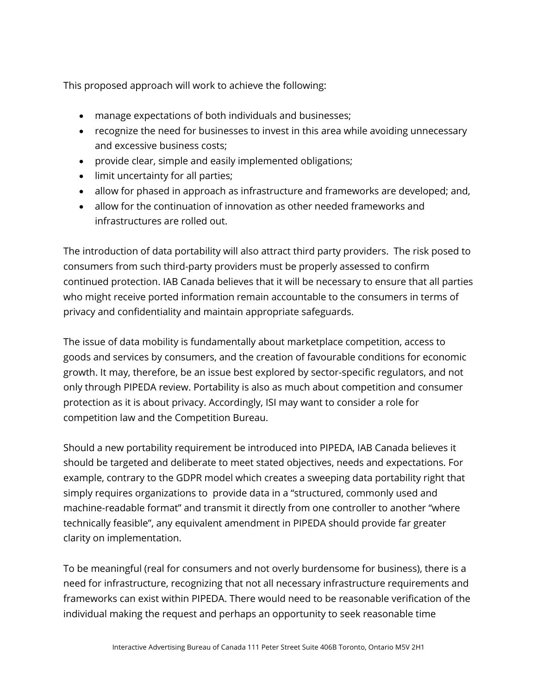This proposed approach will work to achieve the following:

- manage expectations of both individuals and businesses;
- recognize the need for businesses to invest in this area while avoiding unnecessary and excessive business costs;
- provide clear, simple and easily implemented obligations;
- limit uncertainty for all parties;
- allow for phased in approach as infrastructure and frameworks are developed; and,
- allow for the continuation of innovation as other needed frameworks and infrastructures are rolled out.

The introduction of data portability will also attract third party providers. The risk posed to consumers from such third-party providers must be properly assessed to confirm continued protection. IAB Canada believes that it will be necessary to ensure that all parties who might receive ported information remain accountable to the consumers in terms of privacy and confidentiality and maintain appropriate safeguards.

The issue of data mobility is fundamentally about marketplace competition, access to goods and services by consumers, and the creation of favourable conditions for economic growth. It may, therefore, be an issue best explored by sector-specific regulators, and not only through PIPEDA review. Portability is also as much about competition and consumer protection as it is about privacy. Accordingly, ISI may want to consider a role for competition law and the Competition Bureau.

Should a new portability requirement be introduced into PIPEDA, IAB Canada believes it should be targeted and deliberate to meet stated objectives, needs and expectations. For example, contrary to the GDPR model which creates a sweeping data portability right that simply requires organizations to provide data in a "structured, commonly used and machine-readable format" and transmit it directly from one controller to another "where technically feasible", any equivalent amendment in PIPEDA should provide far greater clarity on implementation.

To be meaningful (real for consumers and not overly burdensome for business), there is a need for infrastructure, recognizing that not all necessary infrastructure requirements and frameworks can exist within PIPEDA. There would need to be reasonable verification of the individual making the request and perhaps an opportunity to seek reasonable time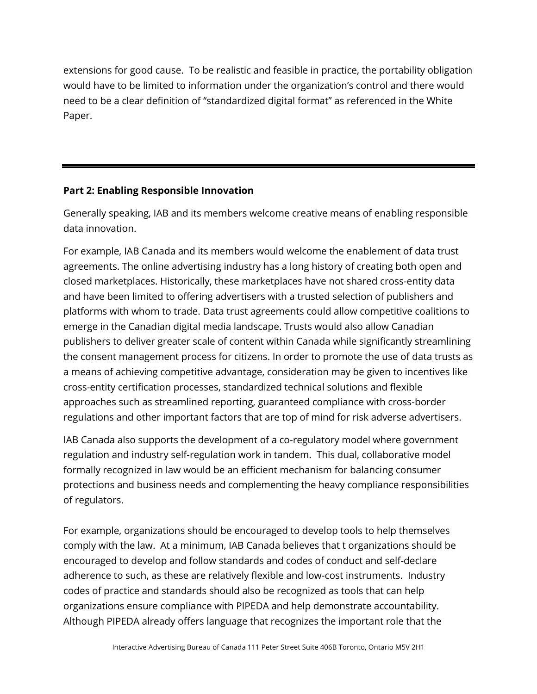extensions for good cause. To be realistic and feasible in practice, the portability obligation would have to be limited to information under the organization's control and there would need to be a clear definition of "standardized digital format" as referenced in the White Paper.

# **Part 2: Enabling Responsible Innovation**

Generally speaking, IAB and its members welcome creative means of enabling responsible data innovation.

For example, IAB Canada and its members would welcome the enablement of data trust agreements. The online advertising industry has a long history of creating both open and closed marketplaces. Historically, these marketplaces have not shared cross-entity data and have been limited to offering advertisers with a trusted selection of publishers and platforms with whom to trade. Data trust agreements could allow competitive coalitions to emerge in the Canadian digital media landscape. Trusts would also allow Canadian publishers to deliver greater scale of content within Canada while significantly streamlining the consent management process for citizens. In order to promote the use of data trusts as a means of achieving competitive advantage, consideration may be given to incentives like cross-entity certification processes, standardized technical solutions and flexible approaches such as streamlined reporting, guaranteed compliance with cross-border regulations and other important factors that are top of mind for risk adverse advertisers.

IAB Canada also supports the development of a co-regulatory model where government regulation and industry self-regulation work in tandem. This dual, collaborative model formally recognized in law would be an efficient mechanism for balancing consumer protections and business needs and complementing the heavy compliance responsibilities of regulators.

For example, organizations should be encouraged to develop tools to help themselves comply with the law. At a minimum, IAB Canada believes that t organizations should be encouraged to develop and follow standards and codes of conduct and self-declare adherence to such, as these are relatively flexible and low-cost instruments. Industry codes of practice and standards should also be recognized as tools that can help organizations ensure compliance with PIPEDA and help demonstrate accountability. Although PIPEDA already offers language that recognizes the important role that the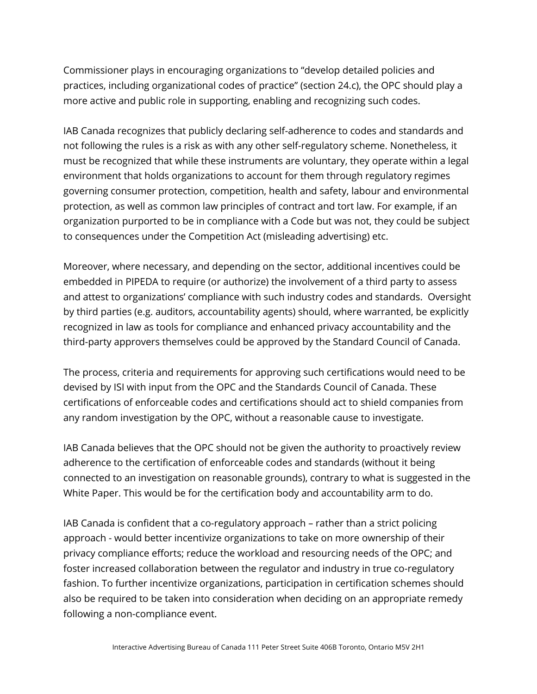Commissioner plays in encouraging organizations to "develop detailed policies and practices, including organizational codes of practice" (section 24.c), the OPC should play a more active and public role in supporting, enabling and recognizing such codes.

IAB Canada recognizes that publicly declaring self-adherence to codes and standards and not following the rules is a risk as with any other self-regulatory scheme. Nonetheless, it must be recognized that while these instruments are voluntary, they operate within a legal environment that holds organizations to account for them through regulatory regimes governing consumer protection, competition, health and safety, labour and environmental protection, as well as common law principles of contract and tort law. For example, if an organization purported to be in compliance with a Code but was not, they could be subject to consequences under the Competition Act (misleading advertising) etc.

Moreover, where necessary, and depending on the sector, additional incentives could be embedded in PIPEDA to require (or authorize) the involvement of a third party to assess and attest to organizations' compliance with such industry codes and standards. Oversight by third parties (e.g. auditors, accountability agents) should, where warranted, be explicitly recognized in law as tools for compliance and enhanced privacy accountability and the third-party approvers themselves could be approved by the Standard Council of Canada.

The process, criteria and requirements for approving such certifications would need to be devised by ISI with input from the OPC and the Standards Council of Canada. These certifications of enforceable codes and certifications should act to shield companies from any random investigation by the OPC, without a reasonable cause to investigate.

IAB Canada believes that the OPC should not be given the authority to proactively review adherence to the certification of enforceable codes and standards (without it being connected to an investigation on reasonable grounds), contrary to what is suggested in the White Paper. This would be for the certification body and accountability arm to do.

IAB Canada is confident that a co-regulatory approach – rather than a strict policing approach - would better incentivize organizations to take on more ownership of their privacy compliance efforts; reduce the workload and resourcing needs of the OPC; and foster increased collaboration between the regulator and industry in true co-regulatory fashion. To further incentivize organizations, participation in certification schemes should also be required to be taken into consideration when deciding on an appropriate remedy following a non-compliance event.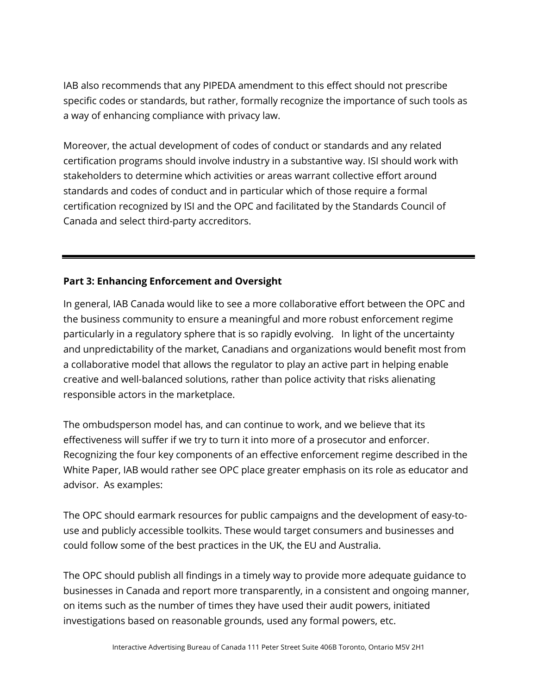IAB also recommends that any PIPEDA amendment to this effect should not prescribe specific codes or standards, but rather, formally recognize the importance of such tools as a way of enhancing compliance with privacy law.

Moreover, the actual development of codes of conduct or standards and any related certification programs should involve industry in a substantive way. ISI should work with stakeholders to determine which activities or areas warrant collective effort around standards and codes of conduct and in particular which of those require a formal certification recognized by ISI and the OPC and facilitated by the Standards Council of Canada and select third-party accreditors.

### **Part 3: Enhancing Enforcement and Oversight**

In general, IAB Canada would like to see a more collaborative effort between the OPC and the business community to ensure a meaningful and more robust enforcement regime particularly in a regulatory sphere that is so rapidly evolving. In light of the uncertainty and unpredictability of the market, Canadians and organizations would benefit most from a collaborative model that allows the regulator to play an active part in helping enable creative and well-balanced solutions, rather than police activity that risks alienating responsible actors in the marketplace.

The ombudsperson model has, and can continue to work, and we believe that its effectiveness will suffer if we try to turn it into more of a prosecutor and enforcer. Recognizing the four key components of an effective enforcement regime described in the White Paper, IAB would rather see OPC place greater emphasis on its role as educator and advisor. As examples:

The OPC should earmark resources for public campaigns and the development of easy-touse and publicly accessible toolkits. These would target consumers and businesses and could follow some of the best practices in the UK, the EU and Australia.

The OPC should publish all findings in a timely way to provide more adequate guidance to businesses in Canada and report more transparently, in a consistent and ongoing manner, on items such as the number of times they have used their audit powers, initiated investigations based on reasonable grounds, used any formal powers, etc.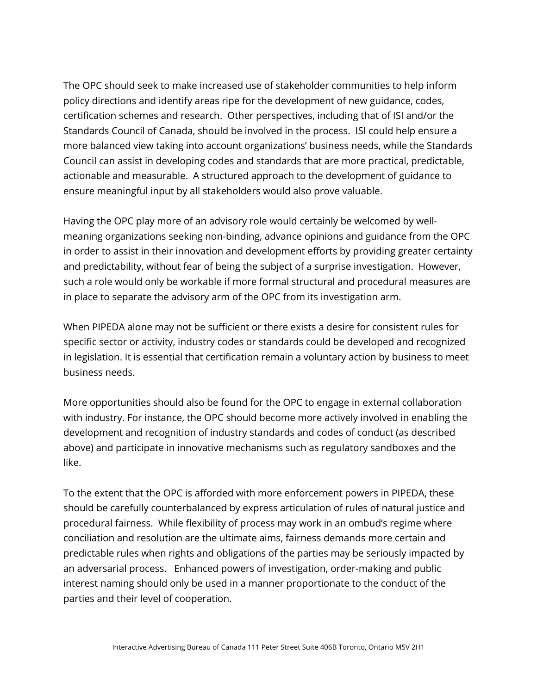The OPC should seek to make increased use of stakeholder communities to help inform policy directions and identify areas ripe for the development of new guidance, codes, certification schemes and research. Other perspectives, including that of ISI and/or the Standards Council of Canada, should be involved in the process. ISI could help ensure a more balanced view taking into account organizations' business needs, while the Standards Council can assist in developing codes and standards that are more practical, predictable, actionable and measurable. A structured approach to the development of guidance to ensure meaningful input by all stakeholders would also prove valuable.

Having the OPC play more of an advisory role would certainly be welcomed by wellmeaning organizations seeking non-binding, advance opinions and guidance from the OPC in order to assist in their innovation and development efforts by providing greater certainty and predictability, without fear of being the subject of a surprise investigation. However, such a role would only be workable if more formal structural and procedural measures are in place to separate the advisory arm of the OPC from its investigation arm.

When PIPEDA alone may not be sufficient or there exists a desire for consistent rules for specific sector or activity, industry codes or standards could be developed and recognized in legislation. It is essential that certification remain a voluntary action by business to meet business needs.

More opportunities should also be found for the OPC to engage in external collaboration with industry. For instance, the OPC should become more actively involved in enabling the development and recognition of industry standards and codes of conduct (as described above) and participate in innovative mechanisms such as regulatory sandboxes and the like.

To the extent that the OPC is afforded with more enforcement powers in PIPEDA, these should be carefully counterbalanced by express articulation of rules of natural justice and procedural fairness. While flexibility of process may work in an ombud's regime where conciliation and resolution are the ultimate aims, fairness demands more certain and predictable rules when rights and obligations of the parties may be seriously impacted by an adversarial process. Enhanced powers of investigation, order-making and public interest naming should only be used in a manner proportionate to the conduct of the parties and their level of cooperation.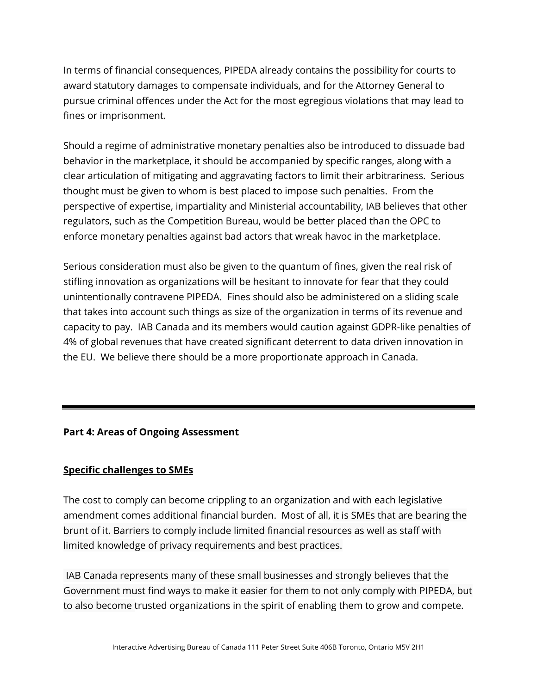In terms of financial consequences, PIPEDA already contains the possibility for courts to award statutory damages to compensate individuals, and for the Attorney General to pursue criminal offences under the Act for the most egregious violations that may lead to fines or imprisonment.

Should a regime of administrative monetary penalties also be introduced to dissuade bad behavior in the marketplace, it should be accompanied by specific ranges, along with a clear articulation of mitigating and aggravating factors to limit their arbitrariness. Serious thought must be given to whom is best placed to impose such penalties. From the perspective of expertise, impartiality and Ministerial accountability, IAB believes that other regulators, such as the Competition Bureau, would be better placed than the OPC to enforce monetary penalties against bad actors that wreak havoc in the marketplace.

Serious consideration must also be given to the quantum of fines, given the real risk of stifling innovation as organizations will be hesitant to innovate for fear that they could unintentionally contravene PIPEDA. Fines should also be administered on a sliding scale that takes into account such things as size of the organization in terms of its revenue and capacity to pay. IAB Canada and its members would caution against GDPR-like penalties of 4% of global revenues that have created significant deterrent to data driven innovation in the EU. We believe there should be a more proportionate approach in Canada.

### **Part 4: Areas of Ongoing Assessment**

### **Specific challenges to SMEs**

The cost to comply can become crippling to an organization and with each legislative amendment comes additional financial burden. Most of all, it is SMEs that are bearing the brunt of it. Barriers to comply include limited financial resources as well as staff with limited knowledge of privacy requirements and best practices.

IAB Canada represents many of these small businesses and strongly believes that the Government must find ways to make it easier for them to not only comply with PIPEDA, but to also become trusted organizations in the spirit of enabling them to grow and compete.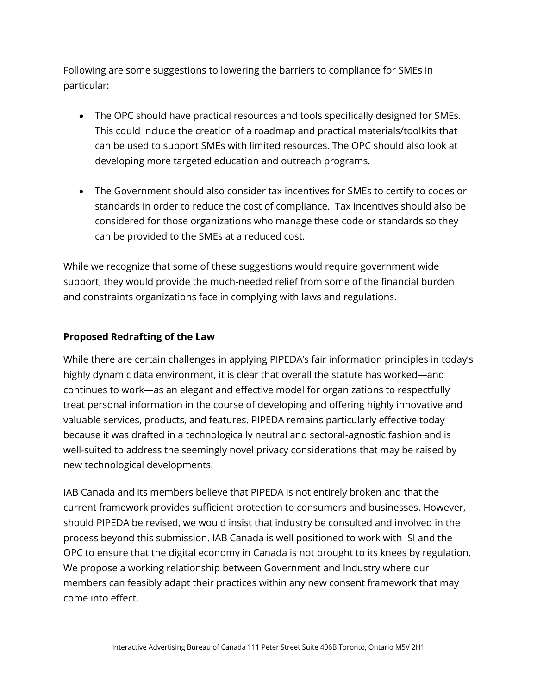Following are some suggestions to lowering the barriers to compliance for SMEs in particular:

- The OPC should have practical resources and tools specifically designed for SMEs. This could include the creation of a roadmap and practical materials/toolkits that can be used to support SMEs with limited resources. The OPC should also look at developing more targeted education and outreach programs.
- The Government should also consider tax incentives for SMEs to certify to codes or standards in order to reduce the cost of compliance. Tax incentives should also be considered for those organizations who manage these code or standards so they can be provided to the SMEs at a reduced cost.

While we recognize that some of these suggestions would require government wide support, they would provide the much-needed relief from some of the financial burden and constraints organizations face in complying with laws and regulations.

### **Proposed Redrafting of the Law**

While there are certain challenges in applying PIPEDA's fair information principles in today's highly dynamic data environment, it is clear that overall the statute has worked—and continues to work—as an elegant and effective model for organizations to respectfully treat personal information in the course of developing and offering highly innovative and valuable services, products, and features. PIPEDA remains particularly effective today because it was drafted in a technologically neutral and sectoral-agnostic fashion and is well-suited to address the seemingly novel privacy considerations that may be raised by new technological developments.

IAB Canada and its members believe that PIPEDA is not entirely broken and that the current framework provides sufficient protection to consumers and businesses. However, should PIPEDA be revised, we would insist that industry be consulted and involved in the process beyond this submission. IAB Canada is well positioned to work with ISI and the OPC to ensure that the digital economy in Canada is not brought to its knees by regulation. We propose a working relationship between Government and Industry where our members can feasibly adapt their practices within any new consent framework that may come into effect.